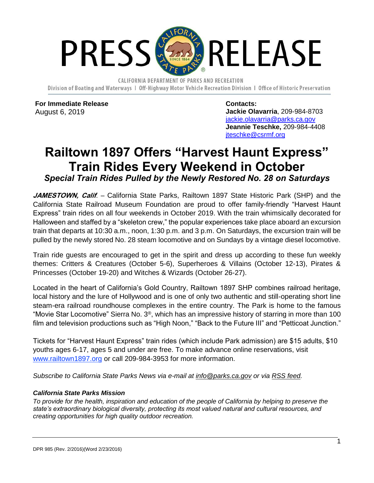

CALIFORNIA DEPARTMENT OF PARKS AND RECREATION Division of Boating and Waterways 1 Off-Highway Motor Vehicle Recreation Division 1 Office of Historic Preservation

**For Immediate Release** August 6, 2019

**Contacts: Jackie Olavarria**, 209-984-8703 [jackie.olavarria@parks.ca.gov](mailto:jackie.olavarria@parks.ca.gov) **Jeannie Teschke,** 209-984-4408 [jteschke@csrmf.org](mailto:jteschke@csrmf.org)

## **Railtown 1897 Offers "Harvest Haunt Express" Train Rides Every Weekend in October**

*Special Train Rides Pulled by the Newly Restored No. 28 on Saturdays*

**JAMESTOWN, Calif.** – California State Parks, Railtown 1897 State Historic Park (SHP) and the California State Railroad Museum Foundation are proud to offer family-friendly "Harvest Haunt Express" train rides on all four weekends in October 2019. With the train whimsically decorated for Halloween and staffed by a "skeleton crew," the popular experiences take place aboard an excursion train that departs at 10:30 a.m., noon, 1:30 p.m. and 3 p.m. On Saturdays, the excursion train will be pulled by the newly stored No. 28 steam locomotive and on Sundays by a vintage diesel locomotive.

Train ride guests are encouraged to get in the spirit and dress up according to these fun weekly themes: Critters & Creatures (October 5-6), Superheroes & Villains (October 12-13), Pirates & Princesses (October 19-20) and Witches & Wizards (October 26-27).

Located in the heart of California's Gold Country, Railtown 1897 SHP combines railroad heritage, local history and the lure of Hollywood and is one of only two authentic and still-operating short line steam-era railroad roundhouse complexes in the entire country. The Park is home to the famous "Movie Star Locomotive" Sierra No. 3®, which has an impressive history of starring in more than 100 film and television productions such as "High Noon," "Back to the Future III" and "Petticoat Junction."

Tickets for "Harvest Haunt Express" train rides (which include Park admission) are \$15 adults, \$10 youths ages 6-17, ages 5 and under are free. To make advance online reservations, visit [www.railtown1897.org](http://www.railtown1897.org/) or call 209-984-3953 for more information.

*Subscribe to California State Parks News via e-mail at [info@parks.ca.gov](mailto:info@parks.ca.gov) or via [RSS feed.](http://feeds.feedburner.com/CaliforniaStateParks?format=xml)* 

## *California State Parks Mission*

*To provide for the health, inspiration and education of the people of California by helping to preserve the state's extraordinary biological diversity, protecting its most valued natural and cultural resources, and creating opportunities for high quality outdoor recreation.*